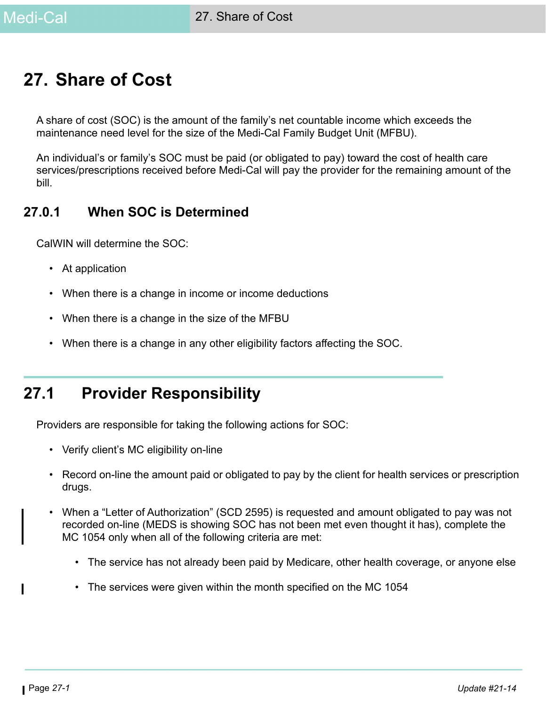# **27. Share of Cost**

A share of cost (SOC) is the amount of the family's net countable income which exceeds the maintenance need level for the size of the Medi-Cal Family Budget Unit (MFBU).

An individual's or family's SOC must be paid (or obligated to pay) toward the cost of health care services/prescriptions received before Medi-Cal will pay the provider for the remaining amount of the bill.

### **27.0.1 When SOC is Determined**

CalWIN will determine the SOC:

- At application
- When there is a change in income or income deductions
- When there is a change in the size of the MFBU
- When there is a change in any other eligibility factors affecting the SOC.

# **27.1 Provider Responsibility**

Providers are responsible for taking the following actions for SOC:

- Verify client's MC eligibility on-line
- Record on-line the amount paid or obligated to pay by the client for health services or prescription drugs.
- When a "Letter of Authorization" (SCD 2595) is requested and amount obligated to pay was not recorded on-line (MEDS is showing SOC has not been met even thought it has), complete the MC 1054 only when all of the following criteria are met:
	- The service has not already been paid by Medicare, other health coverage, or anyone else
	- The services were given within the month specified on the MC 1054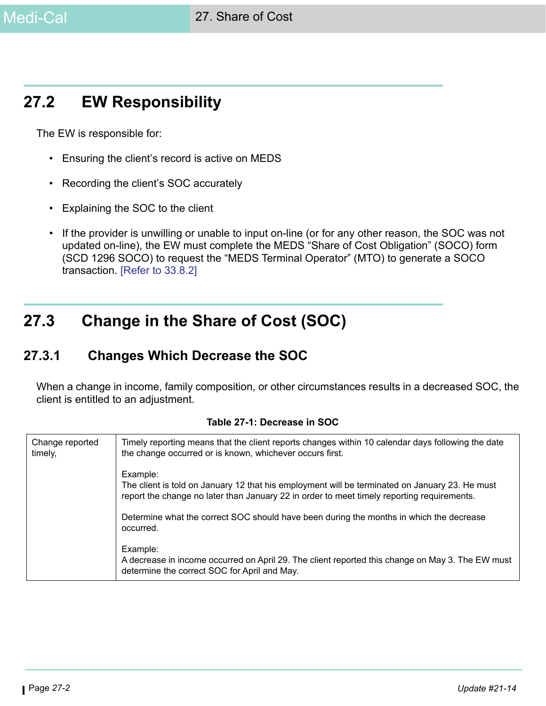# **27.2 EW Responsibility**

The EW is responsible for:

- Ensuring the client's record is active on MEDS
- Recording the client's SOC accurately
- Explaining the SOC to the client
- If the provider is unwilling or unable to input on-line (or for any other reason, the SOC was not updated on-line), the EW must complete the MEDS "Share of Cost Obligation" (SOCO) form (SCD 1296 SOCO) to request the "MEDS Terminal Operator" (MTO) to generate a SOCO transaction. [Refer to 33.8.2]

# **27.3 Change in the Share of Cost (SOC)**

### **27.3.1 Changes Which Decrease the SOC**

When a change in income, family composition, or other circumstances results in a decreased SOC, the client is entitled to an adjustment.

| Change reported<br>timely, | Timely reporting means that the client reports changes within 10 calendar days following the date<br>the change occurred or is known, whichever occurs first.                                            |
|----------------------------|----------------------------------------------------------------------------------------------------------------------------------------------------------------------------------------------------------|
|                            | Example:<br>The client is told on January 12 that his employment will be terminated on January 23. He must<br>report the change no later than January 22 in order to meet timely reporting requirements. |
|                            | Determine what the correct SOC should have been during the months in which the decrease<br>occurred.                                                                                                     |
|                            | Example:<br>A decrease in income occurred on April 29. The client reported this change on May 3. The EW must<br>determine the correct SOC for April and May.                                             |

#### **Table 27-1: Decrease in SOC**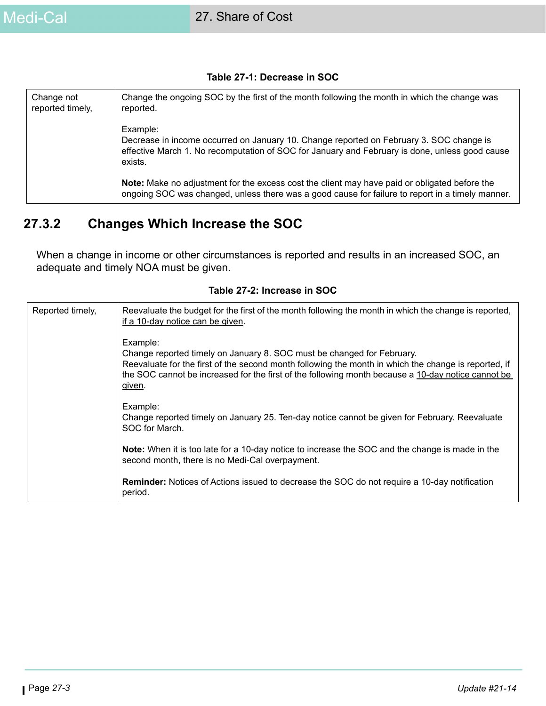#### **Table 27-1: Decrease in SOC**

| Change not<br>reported timely, | Change the ongoing SOC by the first of the month following the month in which the change was<br>reported.                                                                                                        |
|--------------------------------|------------------------------------------------------------------------------------------------------------------------------------------------------------------------------------------------------------------|
|                                | Example:<br>Decrease in income occurred on January 10. Change reported on February 3. SOC change is<br>effective March 1. No recomputation of SOC for January and February is done, unless good cause<br>exists. |
|                                | Note: Make no adjustment for the excess cost the client may have paid or obligated before the<br>ongoing SOC was changed, unless there was a good cause for failure to report in a timely manner.                |

### **27.3.2 Changes Which Increase the SOC**

When a change in income or other circumstances is reported and results in an increased SOC, an adequate and timely NOA must be given.

| Reported timely, | Reevaluate the budget for the first of the month following the month in which the change is reported,<br>if a 10-day notice can be given.                                                                                                                                                                  |
|------------------|------------------------------------------------------------------------------------------------------------------------------------------------------------------------------------------------------------------------------------------------------------------------------------------------------------|
|                  | Example:<br>Change reported timely on January 8. SOC must be changed for February.<br>Reevaluate for the first of the second month following the month in which the change is reported, if<br>the SOC cannot be increased for the first of the following month because a 10-day notice cannot be<br>given. |
|                  | Example:<br>Change reported timely on January 25. Ten-day notice cannot be given for February. Reevaluate<br>SOC for March.                                                                                                                                                                                |
|                  | Note: When it is too late for a 10-day notice to increase the SOC and the change is made in the<br>second month, there is no Medi-Cal overpayment.                                                                                                                                                         |
|                  | <b>Reminder:</b> Notices of Actions issued to decrease the SOC do not require a 10-day notification<br>period.                                                                                                                                                                                             |

#### **Table 27-2: Increase in SOC**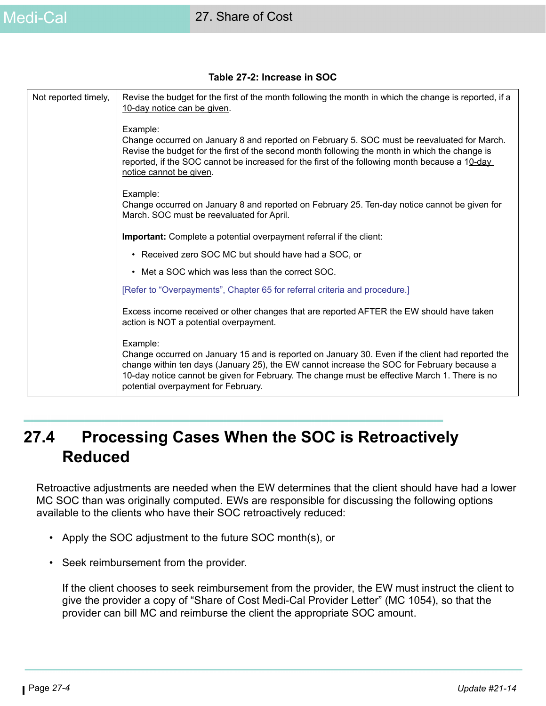#### **Table 27-2: Increase in SOC**

| Not reported timely, | Revise the budget for the first of the month following the month in which the change is reported, if a<br>10-day notice can be given.                                                                                                                                                                                                              |
|----------------------|----------------------------------------------------------------------------------------------------------------------------------------------------------------------------------------------------------------------------------------------------------------------------------------------------------------------------------------------------|
|                      | Example:<br>Change occurred on January 8 and reported on February 5. SOC must be reevaluated for March.<br>Revise the budget for the first of the second month following the month in which the change is<br>reported, if the SOC cannot be increased for the first of the following month because a 10-day<br>notice cannot be given.             |
|                      | Example:<br>Change occurred on January 8 and reported on February 25. Ten-day notice cannot be given for<br>March. SOC must be reevaluated for April.                                                                                                                                                                                              |
|                      | Important: Complete a potential overpayment referral if the client:                                                                                                                                                                                                                                                                                |
|                      | • Received zero SOC MC but should have had a SOC, or                                                                                                                                                                                                                                                                                               |
|                      | • Met a SOC which was less than the correct SOC.                                                                                                                                                                                                                                                                                                   |
|                      | [Refer to "Overpayments", Chapter 65 for referral criteria and procedure.]                                                                                                                                                                                                                                                                         |
|                      | Excess income received or other changes that are reported AFTER the EW should have taken<br>action is NOT a potential overpayment.                                                                                                                                                                                                                 |
|                      | Example:<br>Change occurred on January 15 and is reported on January 30. Even if the client had reported the<br>change within ten days (January 25), the EW cannot increase the SOC for February because a<br>10-day notice cannot be given for February. The change must be effective March 1. There is no<br>potential overpayment for February. |

# **27.4 Processing Cases When the SOC is Retroactively Reduced**

Retroactive adjustments are needed when the EW determines that the client should have had a lower MC SOC than was originally computed. EWs are responsible for discussing the following options available to the clients who have their SOC retroactively reduced:

- Apply the SOC adjustment to the future SOC month(s), or
- Seek reimbursement from the provider.

If the client chooses to seek reimbursement from the provider, the EW must instruct the client to give the provider a copy of "Share of Cost Medi-Cal Provider Letter" (MC 1054), so that the provider can bill MC and reimburse the client the appropriate SOC amount.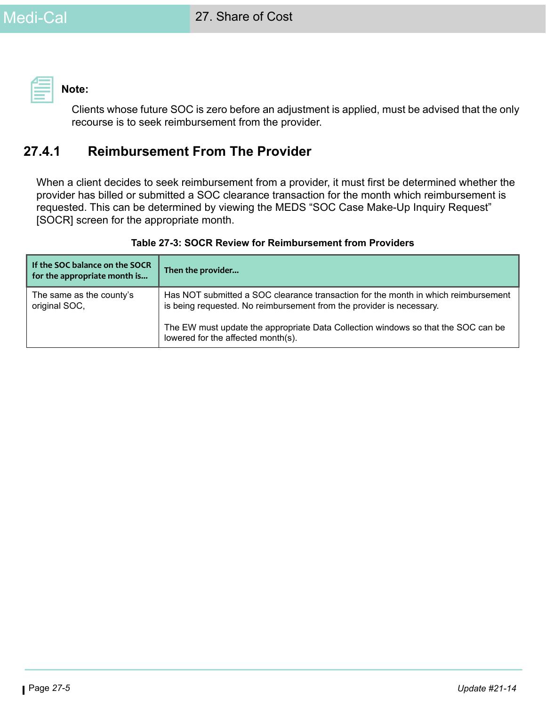**Note:** 

Clients whose future SOC is zero before an adjustment is applied, must be advised that the only recourse is to seek reimbursement from the provider.

### **27.4.1 Reimbursement From The Provider**

When a client decides to seek reimbursement from a provider, it must first be determined whether the provider has billed or submitted a SOC clearance transaction for the month which reimbursement is requested. This can be determined by viewing the MEDS "SOC Case Make-Up Inquiry Request" [SOCR] screen for the appropriate month.

| If the SOC balance on the SOCR<br>for the appropriate month is | Then the provider                                                                                                                                          |
|----------------------------------------------------------------|------------------------------------------------------------------------------------------------------------------------------------------------------------|
| The same as the county's<br>original SOC,                      | Has NOT submitted a SOC clearance transaction for the month in which reimbursement<br>is being requested. No reimbursement from the provider is necessary. |
|                                                                | The EW must update the appropriate Data Collection windows so that the SOC can be<br>lowered for the affected month(s).                                    |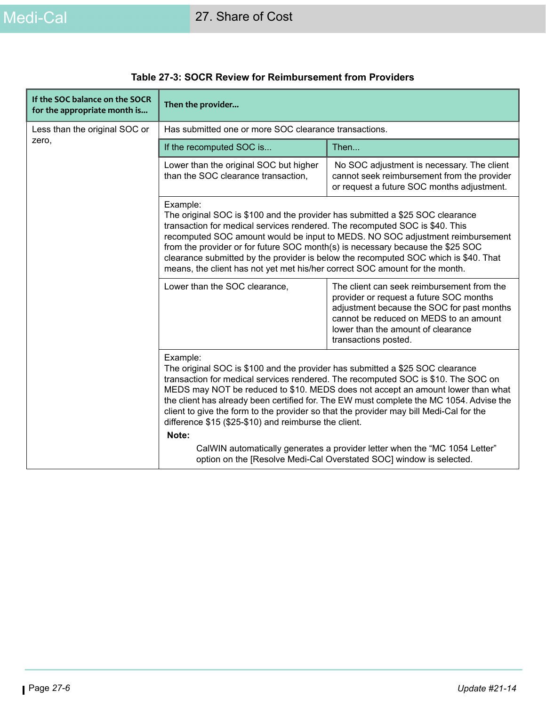| If the SOC balance on the SOCR<br>for the appropriate month is | Then the provider                                                                                                                                                                                                                                                                                                                                                                                                                                                                                                 |                                                                                                                                                                                                                                             |  |
|----------------------------------------------------------------|-------------------------------------------------------------------------------------------------------------------------------------------------------------------------------------------------------------------------------------------------------------------------------------------------------------------------------------------------------------------------------------------------------------------------------------------------------------------------------------------------------------------|---------------------------------------------------------------------------------------------------------------------------------------------------------------------------------------------------------------------------------------------|--|
| Less than the original SOC or                                  | Has submitted one or more SOC clearance transactions.                                                                                                                                                                                                                                                                                                                                                                                                                                                             |                                                                                                                                                                                                                                             |  |
| zero,                                                          | If the recomputed SOC is                                                                                                                                                                                                                                                                                                                                                                                                                                                                                          | Then                                                                                                                                                                                                                                        |  |
|                                                                | Lower than the original SOC but higher<br>than the SOC clearance transaction,                                                                                                                                                                                                                                                                                                                                                                                                                                     | No SOC adjustment is necessary. The client<br>cannot seek reimbursement from the provider<br>or request a future SOC months adjustment.                                                                                                     |  |
|                                                                | Example:<br>The original SOC is \$100 and the provider has submitted a \$25 SOC clearance<br>transaction for medical services rendered. The recomputed SOC is \$40. This<br>recomputed SOC amount would be input to MEDS. NO SOC adjustment reimbursement<br>from the provider or for future SOC month(s) is necessary because the \$25 SOC<br>clearance submitted by the provider is below the recomputed SOC which is \$40. That<br>means, the client has not yet met his/her correct SOC amount for the month. |                                                                                                                                                                                                                                             |  |
|                                                                | Lower than the SOC clearance,                                                                                                                                                                                                                                                                                                                                                                                                                                                                                     | The client can seek reimbursement from the<br>provider or request a future SOC months<br>adjustment because the SOC for past months<br>cannot be reduced on MEDS to an amount<br>lower than the amount of clearance<br>transactions posted. |  |
|                                                                | Example:<br>The original SOC is \$100 and the provider has submitted a \$25 SOC clearance<br>transaction for medical services rendered. The recomputed SOC is \$10. The SOC on<br>MEDS may NOT be reduced to \$10. MEDS does not accept an amount lower than what<br>the client has already been certified for. The EW must complete the MC 1054. Advise the<br>client to give the form to the provider so that the provider may bill Medi-Cal for the<br>difference \$15 (\$25-\$10) and reimburse the client.   |                                                                                                                                                                                                                                             |  |
|                                                                | Note:                                                                                                                                                                                                                                                                                                                                                                                                                                                                                                             |                                                                                                                                                                                                                                             |  |
|                                                                | CalWIN automatically generates a provider letter when the "MC 1054 Letter"<br>option on the [Resolve Medi-Cal Overstated SOC] window is selected.                                                                                                                                                                                                                                                                                                                                                                 |                                                                                                                                                                                                                                             |  |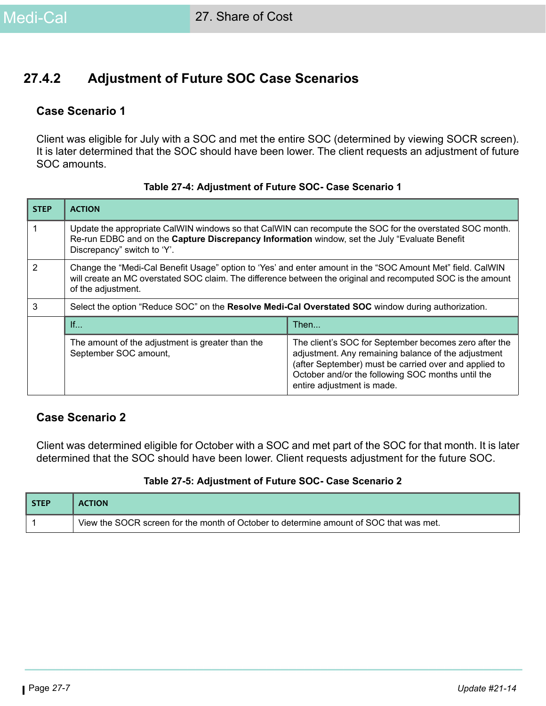### **27.4.2 Adjustment of Future SOC Case Scenarios**

#### **Case Scenario 1**

Client was eligible for July with a SOC and met the entire SOC (determined by viewing SOCR screen). It is later determined that the SOC should have been lower. The client requests an adjustment of future SOC amounts.

| <b>STEP</b> | <b>ACTION</b>                                                                                                                                                                                                                                    |                                                                                                                                                                                                                                                          |  |
|-------------|--------------------------------------------------------------------------------------------------------------------------------------------------------------------------------------------------------------------------------------------------|----------------------------------------------------------------------------------------------------------------------------------------------------------------------------------------------------------------------------------------------------------|--|
|             | Update the appropriate CalWIN windows so that CalWIN can recompute the SOC for the overstated SOC month.<br>Re-run EDBC and on the Capture Discrepancy Information window, set the July "Evaluate Benefit<br>Discrepancy" switch to 'Y'.         |                                                                                                                                                                                                                                                          |  |
| 2           | Change the "Medi-Cal Benefit Usage" option to 'Yes' and enter amount in the "SOC Amount Met" field. CalWIN<br>will create an MC overstated SOC claim. The difference between the original and recomputed SOC is the amount<br>of the adjustment. |                                                                                                                                                                                                                                                          |  |
| 3           | Select the option "Reduce SOC" on the Resolve Medi-Cal Overstated SOC window during authorization.                                                                                                                                               |                                                                                                                                                                                                                                                          |  |
|             | If                                                                                                                                                                                                                                               | Then                                                                                                                                                                                                                                                     |  |
|             | The amount of the adjustment is greater than the<br>September SOC amount,                                                                                                                                                                        | The client's SOC for September becomes zero after the<br>adjustment. Any remaining balance of the adjustment<br>(after September) must be carried over and applied to<br>October and/or the following SOC months until the<br>entire adjustment is made. |  |

#### **Table 27-4: Adjustment of Future SOC- Case Scenario 1**

### **Case Scenario 2**

Client was determined eligible for October with a SOC and met part of the SOC for that month. It is later determined that the SOC should have been lower. Client requests adjustment for the future SOC.

#### **Table 27-5: Adjustment of Future SOC- Case Scenario 2**

| <b>STEP</b> | <b>ACTION</b>                                                                          |
|-------------|----------------------------------------------------------------------------------------|
|             | View the SOCR screen for the month of October to determine amount of SOC that was met. |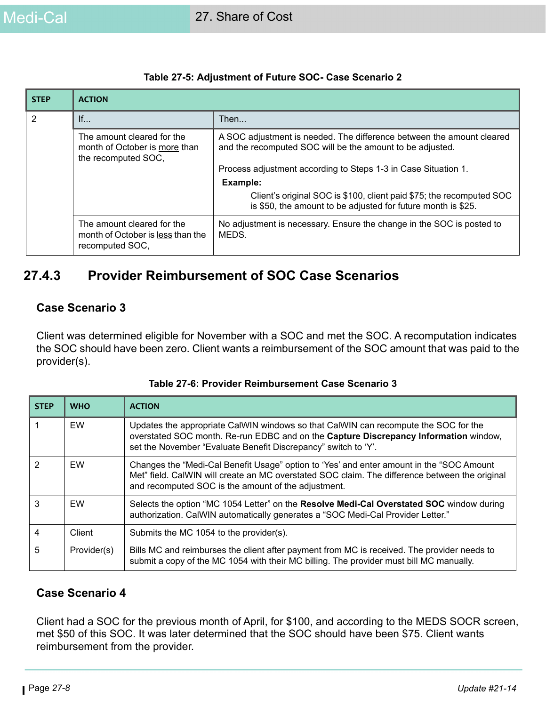| <b>STEP</b>    | <b>ACTION</b>                                                                      |                                                                                                                                      |
|----------------|------------------------------------------------------------------------------------|--------------------------------------------------------------------------------------------------------------------------------------|
| $\overline{2}$ | If                                                                                 | Then                                                                                                                                 |
|                | The amount cleared for the<br>month of October is more than<br>the recomputed SOC, | A SOC adjustment is needed. The difference between the amount cleared<br>and the recomputed SOC will be the amount to be adjusted.   |
|                |                                                                                    | Process adjustment according to Steps 1-3 in Case Situation 1.                                                                       |
|                |                                                                                    | Example:                                                                                                                             |
|                |                                                                                    | Client's original SOC is \$100, client paid \$75; the recomputed SOC<br>is \$50, the amount to be adjusted for future month is \$25. |
|                | The amount cleared for the<br>month of October is less than the<br>recomputed SOC, | No adjustment is necessary. Ensure the change in the SOC is posted to<br>MEDS.                                                       |

#### **Table 27-5: Adjustment of Future SOC- Case Scenario 2**

### **27.4.3 Provider Reimbursement of SOC Case Scenarios**

#### **Case Scenario 3**

Client was determined eligible for November with a SOC and met the SOC. A recomputation indicates the SOC should have been zero. Client wants a reimbursement of the SOC amount that was paid to the provider(s).

| <b>STEP</b>    | <b>WHO</b>  | <b>ACTION</b>                                                                                                                                                                                                                                     |
|----------------|-------------|---------------------------------------------------------------------------------------------------------------------------------------------------------------------------------------------------------------------------------------------------|
|                | EW          | Updates the appropriate CalWIN windows so that CalWIN can recompute the SOC for the<br>overstated SOC month. Re-run EDBC and on the Capture Discrepancy Information window,<br>set the November "Evaluate Benefit Discrepancy" switch to 'Y'.     |
| $\mathfrak{p}$ | EW          | Changes the "Medi-Cal Benefit Usage" option to 'Yes' and enter amount in the "SOC Amount<br>Met" field. CalWIN will create an MC overstated SOC claim. The difference between the original<br>and recomputed SOC is the amount of the adjustment. |
| 3              | EW          | Selects the option "MC 1054 Letter" on the Resolve Medi-Cal Overstated SOC window during<br>authorization. CalWIN automatically generates a "SOC Medi-Cal Provider Letter."                                                                       |
| 4              | Client      | Submits the MC 1054 to the provider(s).                                                                                                                                                                                                           |
| 5              | Provider(s) | Bills MC and reimburses the client after payment from MC is received. The provider needs to<br>submit a copy of the MC 1054 with their MC billing. The provider must bill MC manually.                                                            |

#### **Case Scenario 4**

Client had a SOC for the previous month of April, for \$100, and according to the MEDS SOCR screen, met \$50 of this SOC. It was later determined that the SOC should have been \$75. Client wants reimbursement from the provider.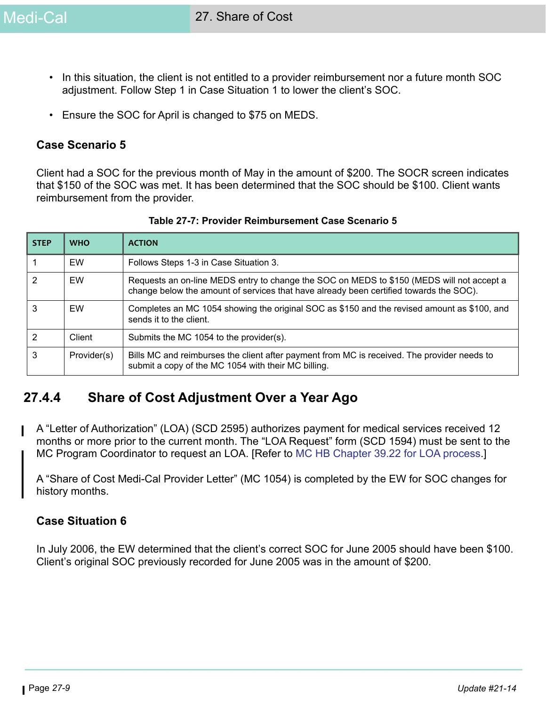- In this situation, the client is not entitled to a provider reimbursement nor a future month SOC adjustment. Follow Step 1 in Case Situation 1 to lower the client's SOC.
- Ensure the SOC for April is changed to \$75 on MEDS.

#### **Case Scenario 5**

Client had a SOC for the previous month of May in the amount of \$200. The SOCR screen indicates that \$150 of the SOC was met. It has been determined that the SOC should be \$100. Client wants reimbursement from the provider.

| <b>STEP</b> | <b>WHO</b>  | <b>ACTION</b>                                                                                                                                                                       |  |
|-------------|-------------|-------------------------------------------------------------------------------------------------------------------------------------------------------------------------------------|--|
|             | EW          | Follows Steps 1-3 in Case Situation 3.                                                                                                                                              |  |
| 2           | EW          | Requests an on-line MEDS entry to change the SOC on MEDS to \$150 (MEDS will not accept a<br>change below the amount of services that have already been certified towards the SOC). |  |
| 3           | EW          | Completes an MC 1054 showing the original SOC as \$150 and the revised amount as \$100, and<br>sends it to the client.                                                              |  |
| 2           | Client      | Submits the MC 1054 to the provider(s).                                                                                                                                             |  |
| 3           | Provider(s) | Bills MC and reimburses the client after payment from MC is received. The provider needs to<br>submit a copy of the MC 1054 with their MC billing.                                  |  |

|  |  | Table 27-7: Provider Reimbursement Case Scenario 5 |  |  |
|--|--|----------------------------------------------------|--|--|
|--|--|----------------------------------------------------|--|--|

## **27.4.4 Share of Cost Adjustment Over a Year Ago**

A "Letter of Authorization" (LOA) (SCD 2595) authorizes payment for medical services received 12 months or more prior to the current month. The "LOA Request" form (SCD 1594) must be sent to the MC Program Coordinator to request an LOA. [Refer to [MC HB Chapter 39.22 for LOA process](https://ssaconnect.sccgov.org/ssa_departments/debs_program/Documents/handbooks/medical/mcchap39.pdf).]

A "Share of Cost Medi-Cal Provider Letter" (MC 1054) is completed by the EW for SOC changes for history months.

#### **Case Situation 6**

In July 2006, the EW determined that the client's correct SOC for June 2005 should have been \$100. Client's original SOC previously recorded for June 2005 was in the amount of \$200.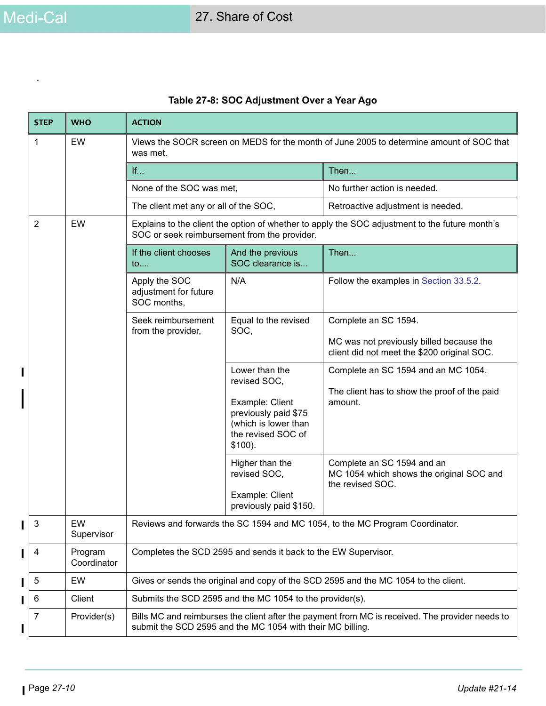.

 $\blacksquare$ 

 $\mathbf{I}$ 

T

 $\mathbf{I}$ 

| <b>STEP</b>          | <b>WHO</b>             | <b>ACTION</b>                                                                                                                                                 |                                                                                                                                      |                                                                                                                 |  |
|----------------------|------------------------|---------------------------------------------------------------------------------------------------------------------------------------------------------------|--------------------------------------------------------------------------------------------------------------------------------------|-----------------------------------------------------------------------------------------------------------------|--|
| 1                    | EW                     | Views the SOCR screen on MEDS for the month of June 2005 to determine amount of SOC that<br>was met.                                                          |                                                                                                                                      |                                                                                                                 |  |
|                      |                        | If                                                                                                                                                            |                                                                                                                                      | Then                                                                                                            |  |
|                      |                        | None of the SOC was met,                                                                                                                                      |                                                                                                                                      | No further action is needed.                                                                                    |  |
|                      |                        | The client met any or all of the SOC,                                                                                                                         |                                                                                                                                      | Retroactive adjustment is needed.                                                                               |  |
| $\overline{2}$<br>EW |                        | Explains to the client the option of whether to apply the SOC adjustment to the future month's<br>SOC or seek reimbursement from the provider.                |                                                                                                                                      |                                                                                                                 |  |
|                      |                        | If the client chooses<br>$\mathsf{to}$                                                                                                                        | And the previous<br>SOC clearance is                                                                                                 | Then                                                                                                            |  |
|                      |                        | Apply the SOC<br>adjustment for future<br>SOC months,                                                                                                         | N/A                                                                                                                                  | Follow the examples in Section 33.5.2.                                                                          |  |
|                      |                        | Seek reimbursement<br>from the provider,                                                                                                                      | Equal to the revised<br>SOC,                                                                                                         | Complete an SC 1594.<br>MC was not previously billed because the<br>client did not meet the \$200 original SOC. |  |
|                      |                        |                                                                                                                                                               | Lower than the<br>revised SOC,<br>Example: Client<br>previously paid \$75<br>(which is lower than<br>the revised SOC of<br>$$100$ ). | Complete an SC 1594 and an MC 1054.<br>The client has to show the proof of the paid<br>amount.                  |  |
|                      |                        |                                                                                                                                                               | Higher than the<br>revised SOC,<br>Example: Client<br>previously paid \$150.                                                         | Complete an SC 1594 and an<br>MC 1054 which shows the original SOC and<br>the revised SOC.                      |  |
| 3                    | EW<br>Supervisor       | Reviews and forwards the SC 1594 and MC 1054, to the MC Program Coordinator.                                                                                  |                                                                                                                                      |                                                                                                                 |  |
| 4                    | Program<br>Coordinator | Completes the SCD 2595 and sends it back to the EW Supervisor.                                                                                                |                                                                                                                                      |                                                                                                                 |  |
| 5                    | EW                     | Gives or sends the original and copy of the SCD 2595 and the MC 1054 to the client.                                                                           |                                                                                                                                      |                                                                                                                 |  |
| 6                    | Client                 | Submits the SCD 2595 and the MC 1054 to the provider(s).                                                                                                      |                                                                                                                                      |                                                                                                                 |  |
| 7                    | Provider(s)            | Bills MC and reimburses the client after the payment from MC is received. The provider needs to<br>submit the SCD 2595 and the MC 1054 with their MC billing. |                                                                                                                                      |                                                                                                                 |  |

### **Table 27-8: SOC Adjustment Over a Year Ago**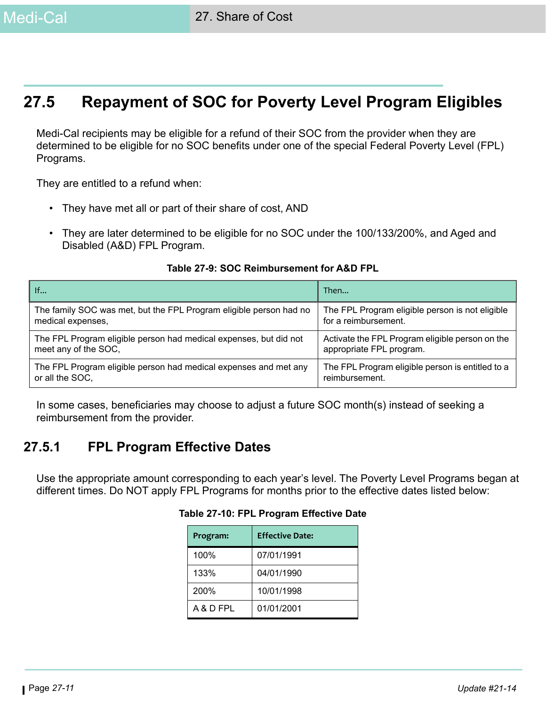# **27.5 Repayment of SOC for Poverty Level Program Eligibles**

Medi-Cal recipients may be eligible for a refund of their SOC from the provider when they are determined to be eligible for no SOC benefits under one of the special Federal Poverty Level (FPL) Programs.

They are entitled to a refund when:

- They have met all or part of their share of cost, AND
- They are later determined to be eligible for no SOC under the 100/133/200%, and Aged and Disabled (A&D) FPL Program.

| If                                                                 | Then                                             |
|--------------------------------------------------------------------|--------------------------------------------------|
| The family SOC was met, but the FPL Program eligible person had no | The FPL Program eligible person is not eligible  |
| medical expenses,                                                  | for a reimbursement.                             |
| The FPL Program eligible person had medical expenses, but did not  | Activate the FPL Program eligible person on the  |
| meet any of the SOC,                                               | appropriate FPL program.                         |
| The FPL Program eligible person had medical expenses and met any   | The FPL Program eligible person is entitled to a |
| or all the SOC,                                                    | reimbursement.                                   |

#### **Table 27-9: SOC Reimbursement for A&D FPL**

In some cases, beneficiaries may choose to adjust a future SOC month(s) instead of seeking a reimbursement from the provider.

### **27.5.1 FPL Program Effective Dates**

Use the appropriate amount corresponding to each year's level. The Poverty Level Programs began at different times. Do NOT apply FPL Programs for months prior to the effective dates listed below:

| Program:  | <b>Effective Date:</b> |  |
|-----------|------------------------|--|
| 100%      | 07/01/1991             |  |
| 133%      | 04/01/1990             |  |
| 200%      | 10/01/1998             |  |
| A & D FPL | 01/01/2001             |  |

#### **Table 27-10: FPL Program Effective Date**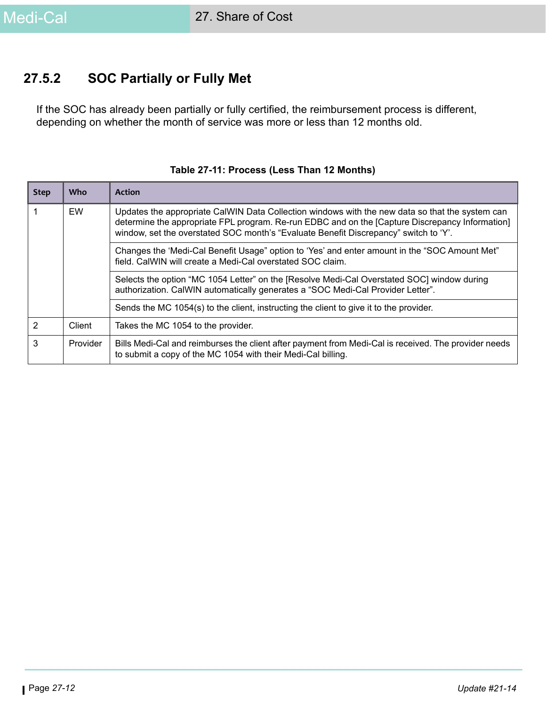### **27.5.2 SOC Partially or Fully Met**

If the SOC has already been partially or fully certified, the reimbursement process is different, depending on whether the month of service was more or less than 12 months old.

| <b>Step</b> | <b>Who</b> | <b>Action</b>                                                                                                                                                                                                                                                                              |  |  |
|-------------|------------|--------------------------------------------------------------------------------------------------------------------------------------------------------------------------------------------------------------------------------------------------------------------------------------------|--|--|
|             | EW         | Updates the appropriate CalWIN Data Collection windows with the new data so that the system can<br>determine the appropriate FPL program. Re-run EDBC and on the [Capture Discrepancy Information]<br>window, set the overstated SOC month's "Evaluate Benefit Discrepancy" switch to 'Y'. |  |  |
|             |            | "Changes the 'Medi-Cal Benefit Usage" option to 'Yes' and enter amount in the "SOC Amount Met"<br>field. CalWIN will create a Medi-Cal overstated SOC claim.                                                                                                                               |  |  |
|             |            | Selects the option "MC 1054 Letter" on the [Resolve Medi-Cal Overstated SOC] window during<br>authorization. CalWIN automatically generates a "SOC Medi-Cal Provider Letter".                                                                                                              |  |  |
|             |            | Sends the MC 1054(s) to the client, instructing the client to give it to the provider.                                                                                                                                                                                                     |  |  |
| 2           | Client     | Takes the MC 1054 to the provider.                                                                                                                                                                                                                                                         |  |  |
| 3           | Provider   | Bills Medi-Cal and reimburses the client after payment from Medi-Cal is received. The provider needs<br>to submit a copy of the MC 1054 with their Medi-Cal billing.                                                                                                                       |  |  |

#### **Table 27-11: Process (Less Than 12 Months)**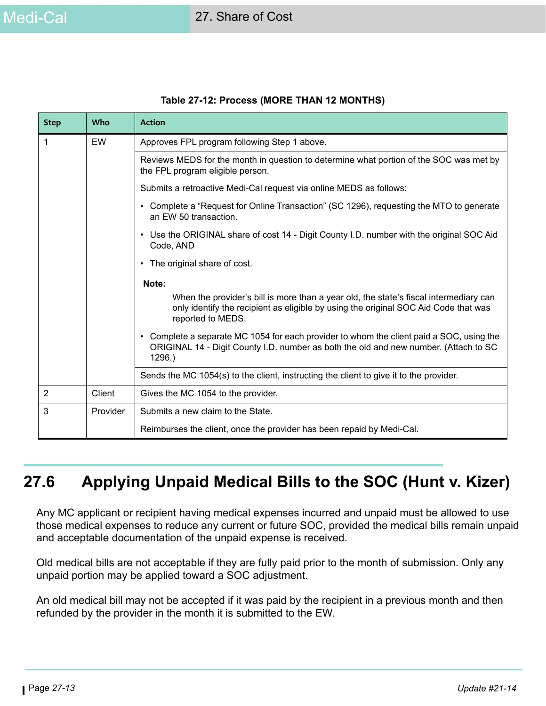| <b>Step</b>                                         | <b>Who</b>                                    | <b>Action</b>                                                                                                                                                                                        |
|-----------------------------------------------------|-----------------------------------------------|------------------------------------------------------------------------------------------------------------------------------------------------------------------------------------------------------|
| 1                                                   | EW                                            | Approves FPL program following Step 1 above.                                                                                                                                                         |
|                                                     |                                               | Reviews MEDS for the month in question to determine what portion of the SOC was met by<br>the FPL program eligible person.                                                                           |
|                                                     |                                               | Submits a retroactive Medi-Cal request via online MEDS as follows:                                                                                                                                   |
|                                                     |                                               | Complete a "Request for Online Transaction" (SC 1296), requesting the MTO to generate<br>$\bullet$<br>an EW 50 transaction.                                                                          |
| Code, AND<br>• The original share of cost.<br>Note: |                                               | • Use the ORIGINAL share of cost 14 - Digit County I.D. number with the original SOC Aid                                                                                                             |
|                                                     |                                               |                                                                                                                                                                                                      |
|                                                     |                                               |                                                                                                                                                                                                      |
|                                                     |                                               | When the provider's bill is more than a year old, the state's fiscal intermediary can<br>only identify the recipient as eligible by using the original SOC Aid Code that was<br>reported to MEDS.    |
|                                                     |                                               | Complete a separate MC 1054 for each provider to whom the client paid a SOC, using the<br>$\bullet$<br>ORIGINAL 14 - Digit County I.D. number as both the old and new number. (Attach to SC<br>1296. |
|                                                     |                                               | Sends the MC 1054(s) to the client, instructing the client to give it to the provider.                                                                                                               |
| $\overline{2}$                                      | Client                                        | Gives the MC 1054 to the provider.                                                                                                                                                                   |
| 3                                                   | Provider<br>Submits a new claim to the State. |                                                                                                                                                                                                      |
|                                                     |                                               | Reimburses the client, once the provider has been repaid by Medi-Cal.                                                                                                                                |

#### **Table 27-12: Process (MORE THAN 12 MONTHS)**

# **27.6 Applying Unpaid Medical Bills to the SOC (Hunt v. Kizer)**

Any MC applicant or recipient having medical expenses incurred and unpaid must be allowed to use those medical expenses to reduce any current or future SOC, provided the medical bills remain unpaid and acceptable documentation of the unpaid expense is received.

Old medical bills are not acceptable if they are fully paid prior to the month of submission. Only any unpaid portion may be applied toward a SOC adjustment.

An old medical bill may not be accepted if it was paid by the recipient in a previous month and then refunded by the provider in the month it is submitted to the EW.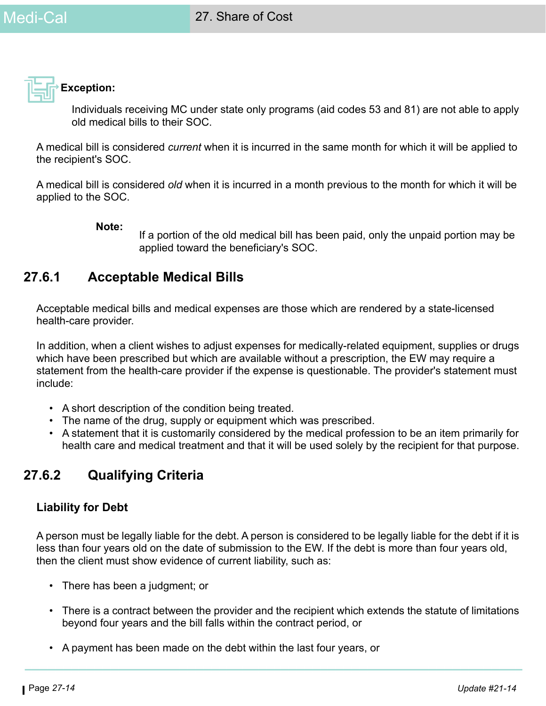

Individuals receiving MC under state only programs (aid codes 53 and 81) are not able to apply old medical bills to their SOC.

A medical bill is considered *current* when it is incurred in the same month for which it will be applied to the recipient's SOC.

A medical bill is considered *old* when it is incurred in a month previous to the month for which it will be applied to the SOC.

#### **Note:**

If a portion of the old medical bill has been paid, only the unpaid portion may be applied toward the beneficiary's SOC.

### **27.6.1 Acceptable Medical Bills**

Acceptable medical bills and medical expenses are those which are rendered by a state-licensed health-care provider.

In addition, when a client wishes to adjust expenses for medically-related equipment, supplies or drugs which have been prescribed but which are available without a prescription, the EW may require a statement from the health-care provider if the expense is questionable. The provider's statement must include:

- A short description of the condition being treated.
- The name of the drug, supply or equipment which was prescribed.
- A statement that it is customarily considered by the medical profession to be an item primarily for health care and medical treatment and that it will be used solely by the recipient for that purpose.

### **27.6.2 Qualifying Criteria**

### **Liability for Debt**

A person must be legally liable for the debt. A person is considered to be legally liable for the debt if it is less than four years old on the date of submission to the EW. If the debt is more than four years old, then the client must show evidence of current liability, such as:

- There has been a judgment; or
- There is a contract between the provider and the recipient which extends the statute of limitations beyond four years and the bill falls within the contract period, or
- A payment has been made on the debt within the last four years, or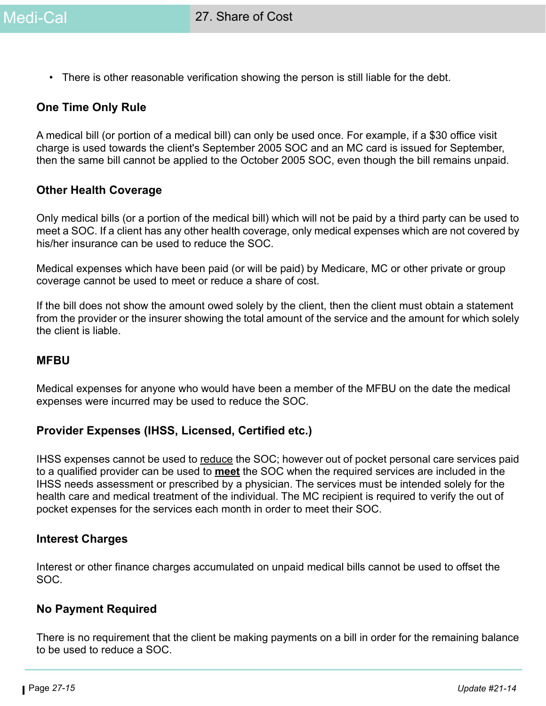• There is other reasonable verification showing the person is still liable for the debt.

#### **One Time Only Rule**

A medical bill (or portion of a medical bill) can only be used once. For example, if a \$30 office visit charge is used towards the client's September 2005 SOC and an MC card is issued for September, then the same bill cannot be applied to the October 2005 SOC, even though the bill remains unpaid.

#### **Other Health Coverage**

Only medical bills (or a portion of the medical bill) which will not be paid by a third party can be used to meet a SOC. If a client has any other health coverage, only medical expenses which are not covered by his/her insurance can be used to reduce the SOC.

Medical expenses which have been paid (or will be paid) by Medicare, MC or other private or group coverage cannot be used to meet or reduce a share of cost.

If the bill does not show the amount owed solely by the client, then the client must obtain a statement from the provider or the insurer showing the total amount of the service and the amount for which solely the client is liable.

#### **MFBU**

Medical expenses for anyone who would have been a member of the MFBU on the date the medical expenses were incurred may be used to reduce the SOC.

#### **Provider Expenses (IHSS, Licensed, Certified etc.)**

IHSS expenses cannot be used to reduce the SOC; however out of pocket personal care services paid to a qualified provider can be used to **meet** the SOC when the required services are included in the IHSS needs assessment or prescribed by a physician. The services must be intended solely for the health care and medical treatment of the individual. The MC recipient is required to verify the out of pocket expenses for the services each month in order to meet their SOC.

#### **Interest Charges**

Interest or other finance charges accumulated on unpaid medical bills cannot be used to offset the SOC.

#### **No Payment Required**

There is no requirement that the client be making payments on a bill in order for the remaining balance to be used to reduce a SOC.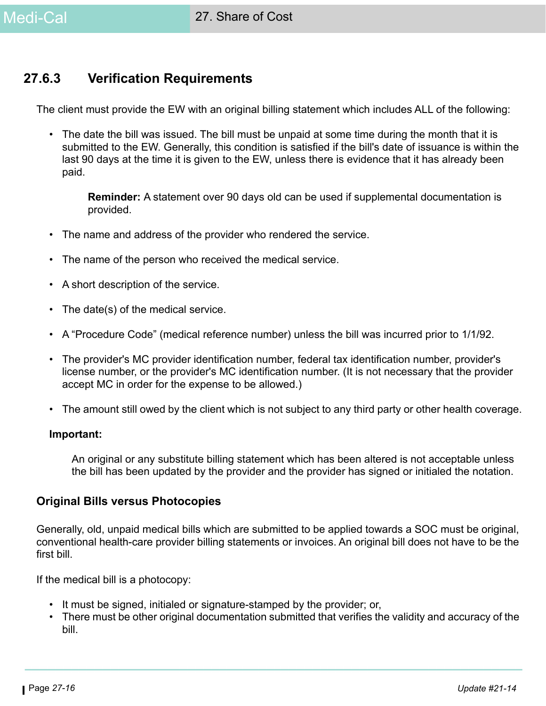### **27.6.3 Verification Requirements**

The client must provide the EW with an original billing statement which includes ALL of the following:

• The date the bill was issued. The bill must be unpaid at some time during the month that it is submitted to the EW. Generally, this condition is satisfied if the bill's date of issuance is within the last 90 days at the time it is given to the EW, unless there is evidence that it has already been paid.

**Reminder:** A statement over 90 days old can be used if supplemental documentation is provided.

- The name and address of the provider who rendered the service.
- The name of the person who received the medical service.
- A short description of the service.
- The date(s) of the medical service.
- A "Procedure Code" (medical reference number) unless the bill was incurred prior to 1/1/92.
- The provider's MC provider identification number, federal tax identification number, provider's license number, or the provider's MC identification number. (It is not necessary that the provider accept MC in order for the expense to be allowed.)
- The amount still owed by the client which is not subject to any third party or other health coverage.

#### **Important:**

An original or any substitute billing statement which has been altered is not acceptable unless the bill has been updated by the provider and the provider has signed or initialed the notation.

#### **Original Bills versus Photocopies**

Generally, old, unpaid medical bills which are submitted to be applied towards a SOC must be original, conventional health-care provider billing statements or invoices. An original bill does not have to be the first bill.

If the medical bill is a photocopy:

- It must be signed, initialed or signature-stamped by the provider; or,
- There must be other original documentation submitted that verifies the validity and accuracy of the bill.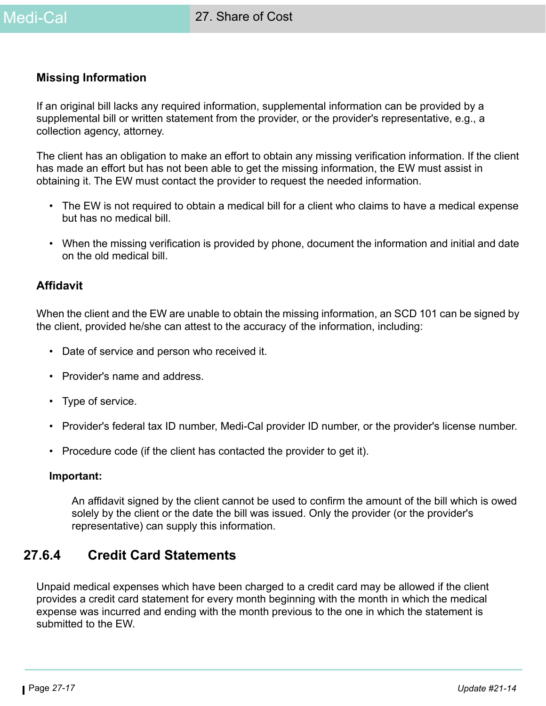#### **Missing Information**

If an original bill lacks any required information, supplemental information can be provided by a supplemental bill or written statement from the provider, or the provider's representative, e.g., a collection agency, attorney.

The client has an obligation to make an effort to obtain any missing verification information. If the client has made an effort but has not been able to get the missing information, the EW must assist in obtaining it. The EW must contact the provider to request the needed information.

- The EW is not required to obtain a medical bill for a client who claims to have a medical expense but has no medical bill.
- When the missing verification is provided by phone, document the information and initial and date on the old medical bill.

#### **Affidavit**

When the client and the EW are unable to obtain the missing information, an SCD 101 can be signed by the client, provided he/she can attest to the accuracy of the information, including:

- Date of service and person who received it.
- Provider's name and address.
- Type of service.
- Provider's federal tax ID number, Medi-Cal provider ID number, or the provider's license number.
- Procedure code (if the client has contacted the provider to get it).

#### **Important:**

An affidavit signed by the client cannot be used to confirm the amount of the bill which is owed solely by the client or the date the bill was issued. Only the provider (or the provider's representative) can supply this information.

### **27.6.4 Credit Card Statements**

Unpaid medical expenses which have been charged to a credit card may be allowed if the client provides a credit card statement for every month beginning with the month in which the medical expense was incurred and ending with the month previous to the one in which the statement is submitted to the EW.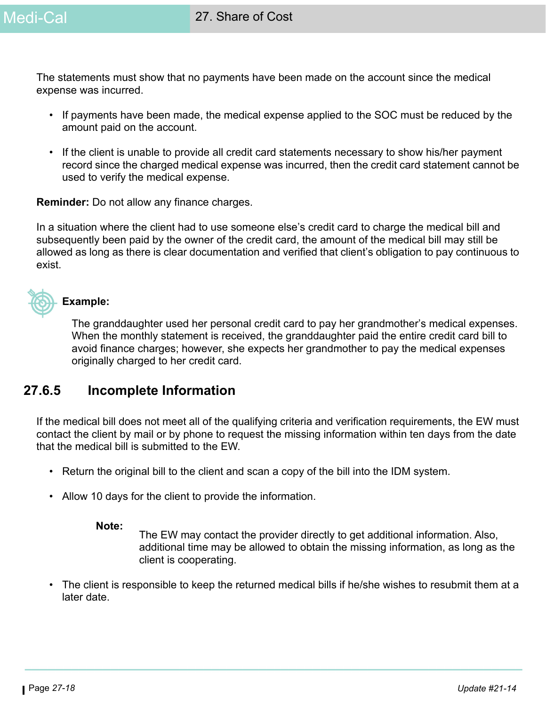The statements must show that no payments have been made on the account since the medical expense was incurred.

- If payments have been made, the medical expense applied to the SOC must be reduced by the amount paid on the account.
- If the client is unable to provide all credit card statements necessary to show his/her payment record since the charged medical expense was incurred, then the credit card statement cannot be used to verify the medical expense.

**Reminder:** Do not allow any finance charges.

In a situation where the client had to use someone else's credit card to charge the medical bill and subsequently been paid by the owner of the credit card, the amount of the medical bill may still be allowed as long as there is clear documentation and verified that client's obligation to pay continuous to exist.



#### **Example:**

The granddaughter used her personal credit card to pay her grandmother's medical expenses. When the monthly statement is received, the granddaughter paid the entire credit card bill to avoid finance charges; however, she expects her grandmother to pay the medical expenses originally charged to her credit card.

### **27.6.5 Incomplete Information**

If the medical bill does not meet all of the qualifying criteria and verification requirements, the EW must contact the client by mail or by phone to request the missing information within ten days from the date that the medical bill is submitted to the EW.

- Return the original bill to the client and scan a copy of the bill into the IDM system.
- Allow 10 days for the client to provide the information.

#### **Note:**

The EW may contact the provider directly to get additional information. Also, additional time may be allowed to obtain the missing information, as long as the client is cooperating.

• The client is responsible to keep the returned medical bills if he/she wishes to resubmit them at a later date.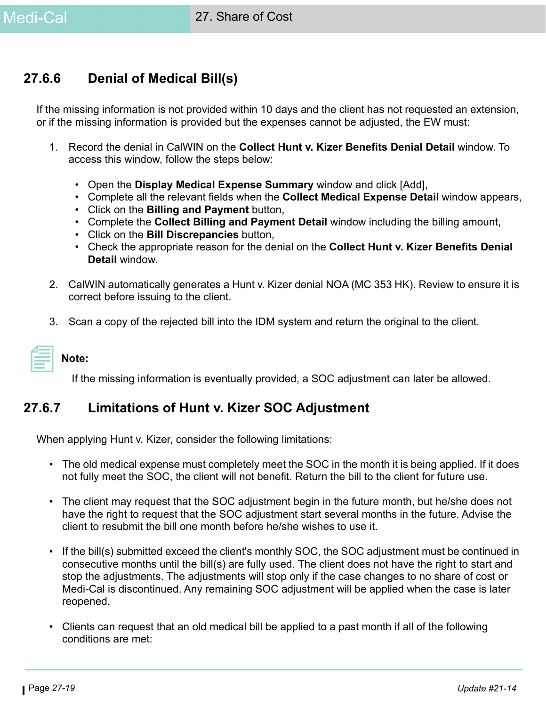### **27.6.6 Denial of Medical Bill(s)**

If the missing information is not provided within 10 days and the client has not requested an extension, or if the missing information is provided but the expenses cannot be adjusted, the EW must:

- 1. Record the denial in CalWIN on the **Collect Hunt v. Kizer Benefits Denial Detail** window. To access this window, follow the steps below:
	- Open the **Display Medical Expense Summary** window and click [Add],
	- Complete all the relevant fields when the **Collect Medical Expense Detail** window appears,
	- Click on the **Billing and Payment** button,
	- Complete the **Collect Billing and Payment Detail** window including the billing amount,
	- Click on the **Bill Discrepancies** button,
	- Check the appropriate reason for the denial on the **Collect Hunt v. Kizer Benefits Denial Detail** window.
- 2. CalWIN automatically generates a Hunt v. Kizer denial NOA (MC 353 HK). Review to ensure it is correct before issuing to the client.
- 3. Scan a copy of the rejected bill into the IDM system and return the original to the client.

**Note:** 

If the missing information is eventually provided, a SOC adjustment can later be allowed.

### **27.6.7 Limitations of Hunt v. Kizer SOC Adjustment**

When applying Hunt v. Kizer, consider the following limitations:

- The old medical expense must completely meet the SOC in the month it is being applied. If it does not fully meet the SOC, the client will not benefit. Return the bill to the client for future use.
- The client may request that the SOC adjustment begin in the future month, but he/she does not have the right to request that the SOC adjustment start several months in the future. Advise the client to resubmit the bill one month before he/she wishes to use it.
- If the bill(s) submitted exceed the client's monthly SOC, the SOC adjustment must be continued in consecutive months until the bill(s) are fully used. The client does not have the right to start and stop the adjustments. The adjustments will stop only if the case changes to no share of cost or Medi-Cal is discontinued. Any remaining SOC adjustment will be applied when the case is later reopened.
- Clients can request that an old medical bill be applied to a past month if all of the following conditions are met: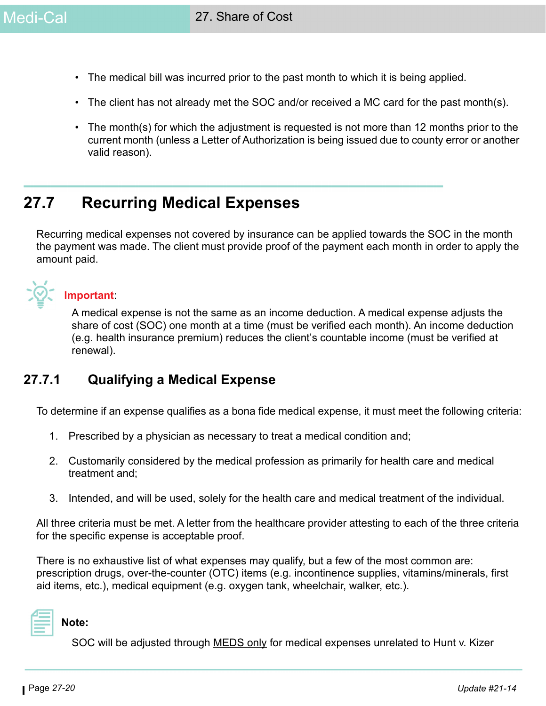- The medical bill was incurred prior to the past month to which it is being applied.
- The client has not already met the SOC and/or received a MC card for the past month(s).
- The month(s) for which the adjustment is requested is not more than 12 months prior to the current month (unless a Letter of Authorization is being issued due to county error or another valid reason).

# **27.7 Recurring Medical Expenses**

Recurring medical expenses not covered by insurance can be applied towards the SOC in the month the payment was made. The client must provide proof of the payment each month in order to apply the amount paid.

### **Important**:

A medical expense is not the same as an income deduction. A medical expense adjusts the share of cost (SOC) one month at a time (must be verified each month). An income deduction (e.g. health insurance premium) reduces the client's countable income (must be verified at renewal).

### **27.7.1 Qualifying a Medical Expense**

To determine if an expense qualifies as a bona fide medical expense, it must meet the following criteria:

- 1. Prescribed by a physician as necessary to treat a medical condition and;
- 2. Customarily considered by the medical profession as primarily for health care and medical treatment and;
- 3. Intended, and will be used, solely for the health care and medical treatment of the individual.

All three criteria must be met. A letter from the healthcare provider attesting to each of the three criteria for the specific expense is acceptable proof.

There is no exhaustive list of what expenses may qualify, but a few of the most common are: prescription drugs, over-the-counter (OTC) items (e.g. incontinence supplies, vitamins/minerals, first aid items, etc.), medical equipment (e.g. oxygen tank, wheelchair, walker, etc.).



SOC will be adjusted through MEDS only for medical expenses unrelated to Hunt v. Kizer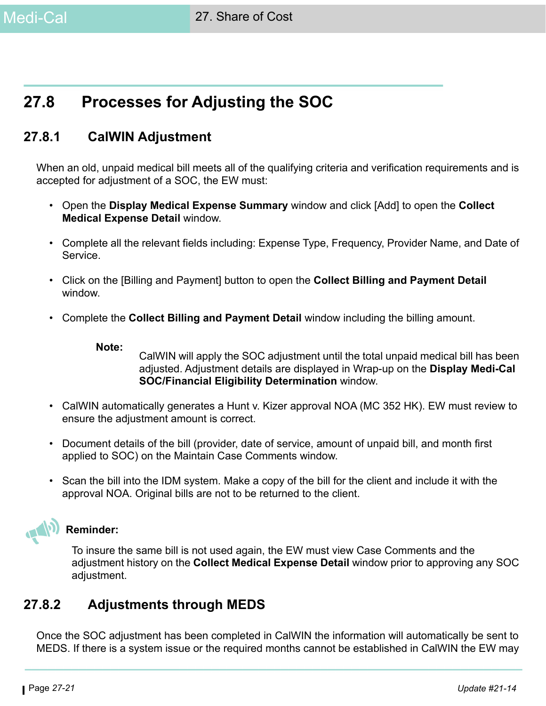# **27.8 Processes for Adjusting the SOC**

### **27.8.1 CalWIN Adjustment**

When an old, unpaid medical bill meets all of the qualifying criteria and verification requirements and is accepted for adjustment of a SOC, the EW must:

- Open the **Display Medical Expense Summary** window and click [Add] to open the **Collect Medical Expense Detail** window.
- Complete all the relevant fields including: Expense Type, Frequency, Provider Name, and Date of Service.
- Click on the [Billing and Payment] button to open the **Collect Billing and Payment Detail** window.
- Complete the **Collect Billing and Payment Detail** window including the billing amount.

#### **Note:**

CalWIN will apply the SOC adjustment until the total unpaid medical bill has been adjusted. Adjustment details are displayed in Wrap-up on the **Display Medi-Cal SOC/Financial Eligibility Determination** window.

- CalWIN automatically generates a Hunt v. Kizer approval NOA (MC 352 HK). EW must review to ensure the adjustment amount is correct.
- Document details of the bill (provider, date of service, amount of unpaid bill, and month first applied to SOC) on the Maintain Case Comments window.
- Scan the bill into the IDM system. Make a copy of the bill for the client and include it with the approval NOA. Original bills are not to be returned to the client.

### **Reminder:**

To insure the same bill is not used again, the EW must view Case Comments and the adjustment history on the **Collect Medical Expense Detail** window prior to approving any SOC adjustment.

### **27.8.2 Adjustments through MEDS**

Once the SOC adjustment has been completed in CalWIN the information will automatically be sent to MEDS. If there is a system issue or the required months cannot be established in CalWIN the EW may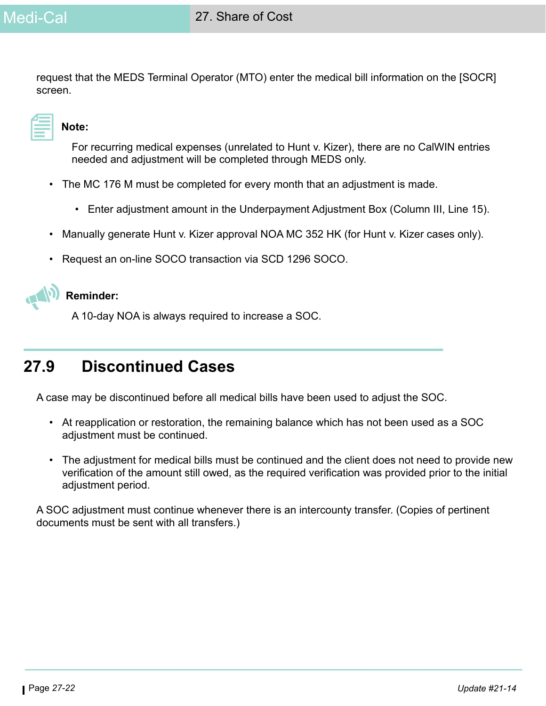request that the MEDS Terminal Operator (MTO) enter the medical bill information on the [SOCR] screen.

### **Note:**

For recurring medical expenses (unrelated to Hunt v. Kizer), there are no CalWIN entries needed and adjustment will be completed through MEDS only.

- The MC 176 M must be completed for every month that an adjustment is made.
	- Enter adjustment amount in the Underpayment Adjustment Box (Column III, Line 15).
- Manually generate Hunt v. Kizer approval NOA MC 352 HK (for Hunt v. Kizer cases only).
- Request an on-line SOCO transaction via SCD 1296 SOCO.



### **Reminder:**

A 10-day NOA is always required to increase a SOC.

# **27.9 Discontinued Cases**

A case may be discontinued before all medical bills have been used to adjust the SOC.

- At reapplication or restoration, the remaining balance which has not been used as a SOC adjustment must be continued.
- The adjustment for medical bills must be continued and the client does not need to provide new verification of the amount still owed, as the required verification was provided prior to the initial adjustment period.

A SOC adjustment must continue whenever there is an intercounty transfer. (Copies of pertinent documents must be sent with all transfers.)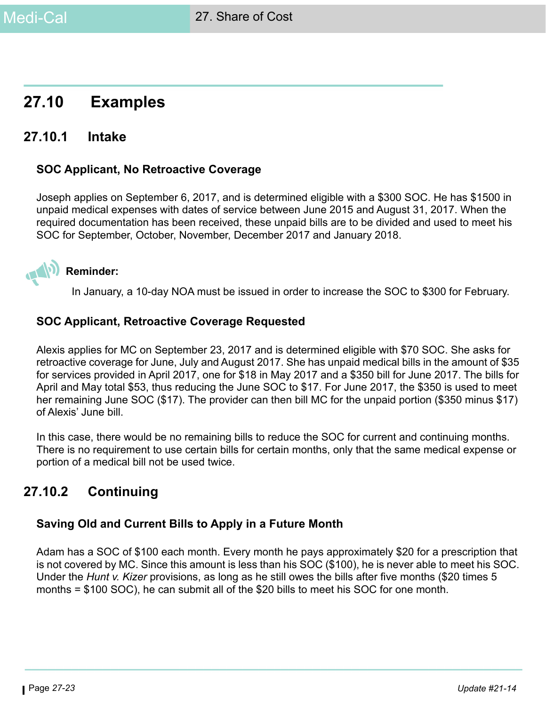# **27.10 Examples**

### **27.10.1 Intake**

#### **SOC Applicant, No Retroactive Coverage**

Joseph applies on September 6, 2017, and is determined eligible with a \$300 SOC. He has \$1500 in unpaid medical expenses with dates of service between June 2015 and August 31, 2017. When the required documentation has been received, these unpaid bills are to be divided and used to meet his SOC for September, October, November, December 2017 and January 2018.



In January, a 10-day NOA must be issued in order to increase the SOC to \$300 for February.

#### **SOC Applicant, Retroactive Coverage Requested**

Alexis applies for MC on September 23, 2017 and is determined eligible with \$70 SOC. She asks for retroactive coverage for June, July and August 2017. She has unpaid medical bills in the amount of \$35 for services provided in April 2017, one for \$18 in May 2017 and a \$350 bill for June 2017. The bills for April and May total \$53, thus reducing the June SOC to \$17. For June 2017, the \$350 is used to meet her remaining June SOC (\$17). The provider can then bill MC for the unpaid portion (\$350 minus \$17) of Alexis' June bill.

In this case, there would be no remaining bills to reduce the SOC for current and continuing months. There is no requirement to use certain bills for certain months, only that the same medical expense or portion of a medical bill not be used twice.

### **27.10.2 Continuing**

### **Saving Old and Current Bills to Apply in a Future Month**

Adam has a SOC of \$100 each month. Every month he pays approximately \$20 for a prescription that is not covered by MC. Since this amount is less than his SOC (\$100), he is never able to meet his SOC. Under the *Hunt v. Kizer* provisions, as long as he still owes the bills after five months (\$20 times 5 months = \$100 SOC), he can submit all of the \$20 bills to meet his SOC for one month.